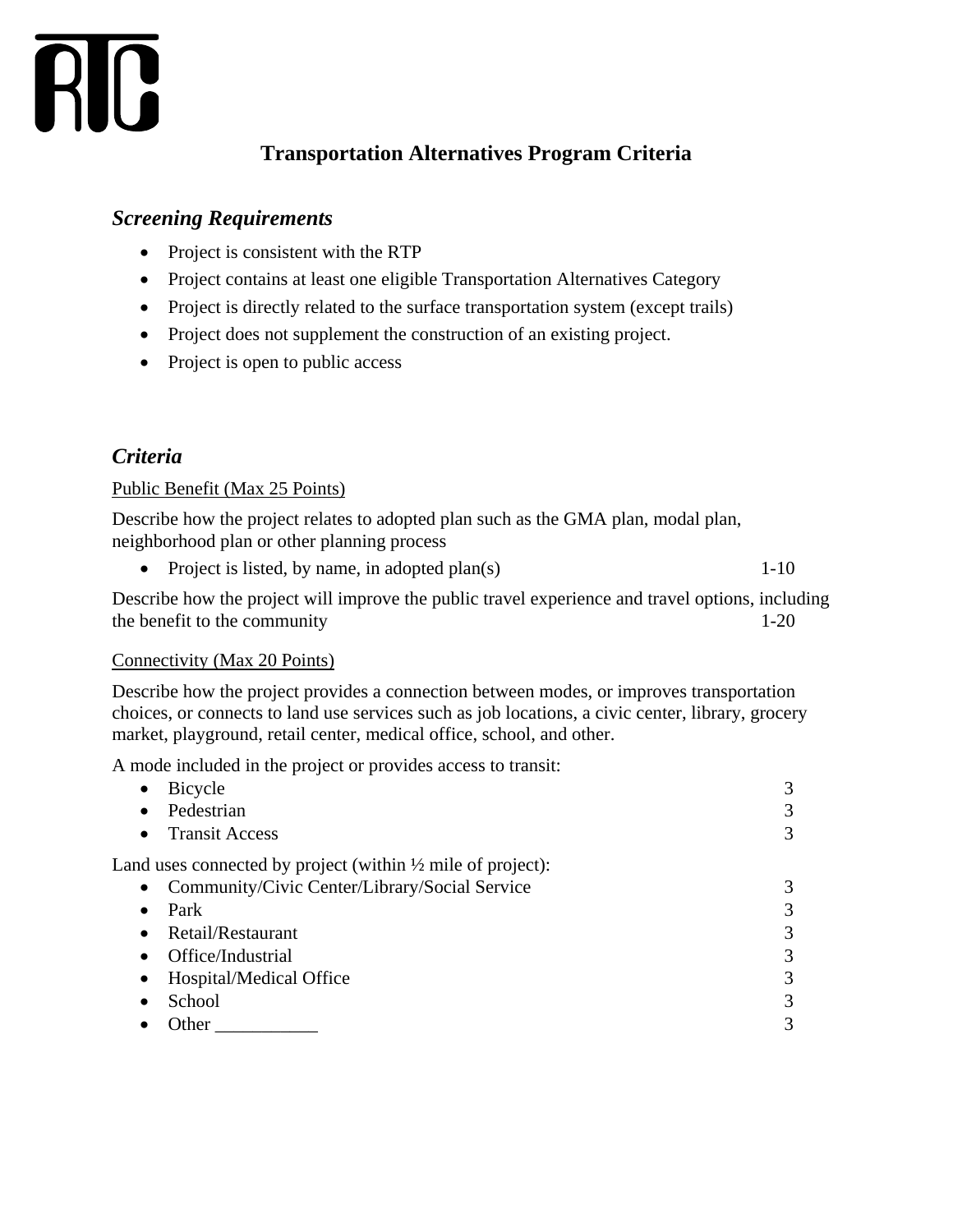

# **Transportation Alternatives Program Criteria**

### *Screening Requirements*

- Project is consistent with the RTP
- Project contains at least one eligible Transportation Alternatives Category
- Project is directly related to the surface transportation system (except trails)
- Project does not supplement the construction of an existing project.
- Project is open to public access

## *Criteria*

#### Public Benefit (Max 25 Points)

Describe how the project relates to adopted plan such as the GMA plan, modal plan, neighborhood plan or other planning process

• Project is listed, by name, in adopted plan(s) 1-10

Describe how the project will improve the public travel experience and travel options, including the benefit to the community 1-20

#### Connectivity (Max 20 Points)

Describe how the project provides a connection between modes, or improves transportation choices, or connects to land use services such as job locations, a civic center, library, grocery market, playground, retail center, medical office, school, and other.

A mode included in the project or provides access to transit:

| Bicycle                                                                | 3 |
|------------------------------------------------------------------------|---|
| Pedestrian<br>$\bullet$                                                | 3 |
| <b>Transit Access</b><br>$\bullet$                                     | 3 |
| Land uses connected by project (within $\frac{1}{2}$ mile of project): |   |
| Community/Civic Center/Library/Social Service<br>$\bullet$             | 3 |
| Park<br>$\bullet$                                                      | 3 |
| Retail/Restaurant<br>$\bullet$                                         | 3 |
| Office/Industrial<br>$\bullet$                                         | 3 |
| Hospital/Medical Office                                                | 3 |
| School                                                                 | 3 |
| Other                                                                  | 3 |
|                                                                        |   |